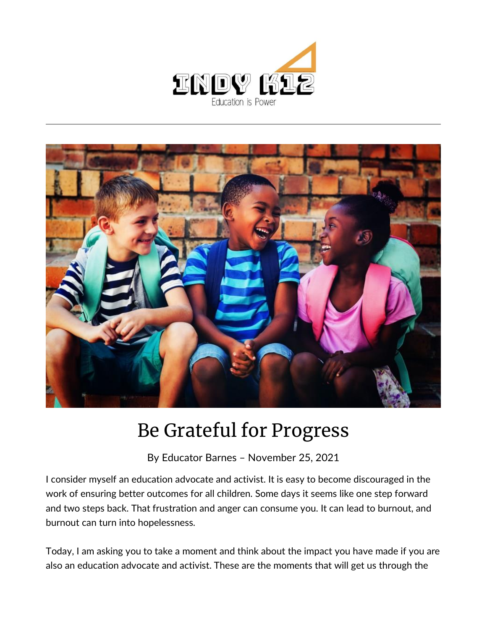



## Be Grateful for Progress

By [Educator Barnes](https://indy.education/author/shicole/) – November 25, 2021

I consider myself an education advocate and activist. It is easy to become discouraged in the work of ensuring better outcomes for all children. Some days it seems like one step forward and two steps back. That frustration and anger can consume you. It can lead to burnout, and burnout can turn into hopelessness.

Today, I am asking you to take a moment and think about the impact you have made if you are also an education advocate and activist. These are the moments that will get us through the